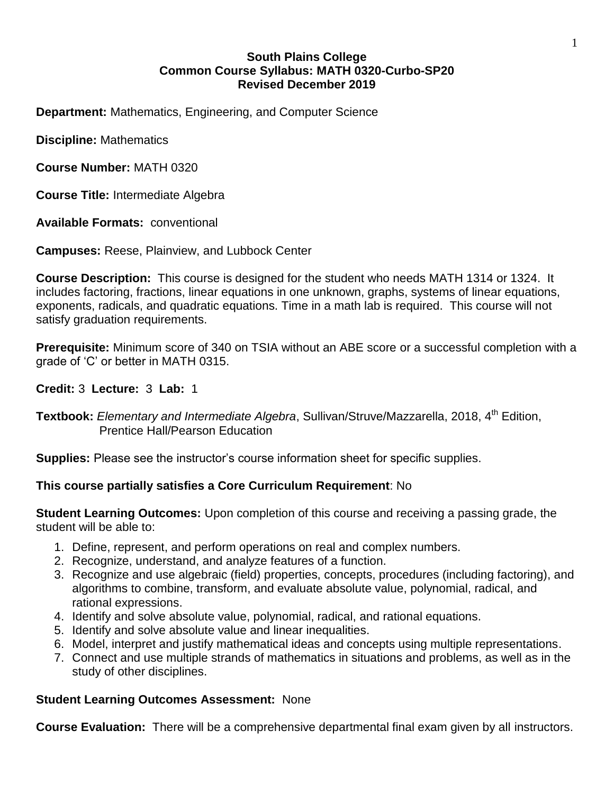## **South Plains College Common Course Syllabus: MATH 0320-Curbo-SP20 Revised December 2019**

**Department:** Mathematics, Engineering, and Computer Science

**Discipline:** Mathematics

**Course Number:** MATH 0320

**Course Title:** Intermediate Algebra

**Available Formats:** conventional

**Campuses:** Reese, Plainview, and Lubbock Center

**Course Description:** This course is designed for the student who needs MATH 1314 or 1324. It includes factoring, fractions, linear equations in one unknown, graphs, systems of linear equations, exponents, radicals, and quadratic equations. Time in a math lab is required. This course will not satisfy graduation requirements.

**Prerequisite:** Minimum score of 340 on TSIA without an ABE score or a successful completion with a grade of 'C' or better in MATH 0315.

## **Credit:** 3 **Lecture:** 3 **Lab:** 1

**Textbook:** *Elementary and Intermediate Algebra*, Sullivan/Struve/Mazzarella, 2018, 4 th Edition, Prentice Hall/Pearson Education

**Supplies:** Please see the instructor's course information sheet for specific supplies.

# **This course partially satisfies a Core Curriculum Requirement**: No

**Student Learning Outcomes:** Upon completion of this course and receiving a passing grade, the student will be able to:

- 1. Define, represent, and perform operations on real and complex numbers.
- 2. Recognize, understand, and analyze features of a function.
- 3. Recognize and use algebraic (field) properties, concepts, procedures (including factoring), and algorithms to combine, transform, and evaluate absolute value, polynomial, radical, and rational expressions.
- 4. Identify and solve absolute value, polynomial, radical, and rational equations.
- 5. Identify and solve absolute value and linear inequalities.
- 6. Model, interpret and justify mathematical ideas and concepts using multiple representations.
- 7. Connect and use multiple strands of mathematics in situations and problems, as well as in the study of other disciplines.

# **Student Learning Outcomes Assessment:** None

**Course Evaluation:** There will be a comprehensive departmental final exam given by all instructors.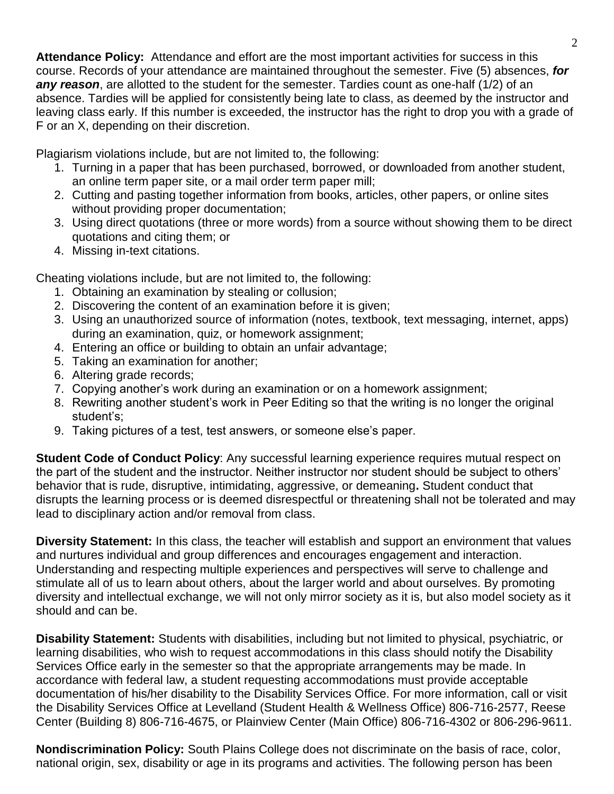**Attendance Policy:** Attendance and effort are the most important activities for success in this course. Records of your attendance are maintained throughout the semester. Five (5) absences, *for any reason*, are allotted to the student for the semester. Tardies count as one-half (1/2) of an absence. Tardies will be applied for consistently being late to class, as deemed by the instructor and leaving class early. If this number is exceeded, the instructor has the right to drop you with a grade of F or an X, depending on their discretion.

Plagiarism violations include, but are not limited to, the following:

- 1. Turning in a paper that has been purchased, borrowed, or downloaded from another student, an online term paper site, or a mail order term paper mill;
- 2. Cutting and pasting together information from books, articles, other papers, or online sites without providing proper documentation;
- 3. Using direct quotations (three or more words) from a source without showing them to be direct quotations and citing them; or
- 4. Missing in-text citations.

Cheating violations include, but are not limited to, the following:

- 1. Obtaining an examination by stealing or collusion;
- 2. Discovering the content of an examination before it is given;
- 3. Using an unauthorized source of information (notes, textbook, text messaging, internet, apps) during an examination, quiz, or homework assignment;
- 4. Entering an office or building to obtain an unfair advantage;
- 5. Taking an examination for another;
- 6. Altering grade records;
- 7. Copying another's work during an examination or on a homework assignment;
- 8. Rewriting another student's work in Peer Editing so that the writing is no longer the original student's;
- 9. Taking pictures of a test, test answers, or someone else's paper.

**Student Code of Conduct Policy**: Any successful learning experience requires mutual respect on the part of the student and the instructor. Neither instructor nor student should be subject to others' behavior that is rude, disruptive, intimidating, aggressive, or demeaning**.** Student conduct that disrupts the learning process or is deemed disrespectful or threatening shall not be tolerated and may lead to disciplinary action and/or removal from class.

**Diversity Statement:** In this class, the teacher will establish and support an environment that values and nurtures individual and group differences and encourages engagement and interaction. Understanding and respecting multiple experiences and perspectives will serve to challenge and stimulate all of us to learn about others, about the larger world and about ourselves. By promoting diversity and intellectual exchange, we will not only mirror society as it is, but also model society as it should and can be.

**Disability Statement:** Students with disabilities, including but not limited to physical, psychiatric, or learning disabilities, who wish to request accommodations in this class should notify the Disability Services Office early in the semester so that the appropriate arrangements may be made. In accordance with federal law, a student requesting accommodations must provide acceptable documentation of his/her disability to the Disability Services Office. For more information, call or visit the Disability Services Office at Levelland (Student Health & Wellness Office) 806-716-2577, Reese Center (Building 8) 806-716-4675, or Plainview Center (Main Office) 806-716-4302 or 806-296-9611.

**Nondiscrimination Policy:** South Plains College does not discriminate on the basis of race, color, national origin, sex, disability or age in its programs and activities. The following person has been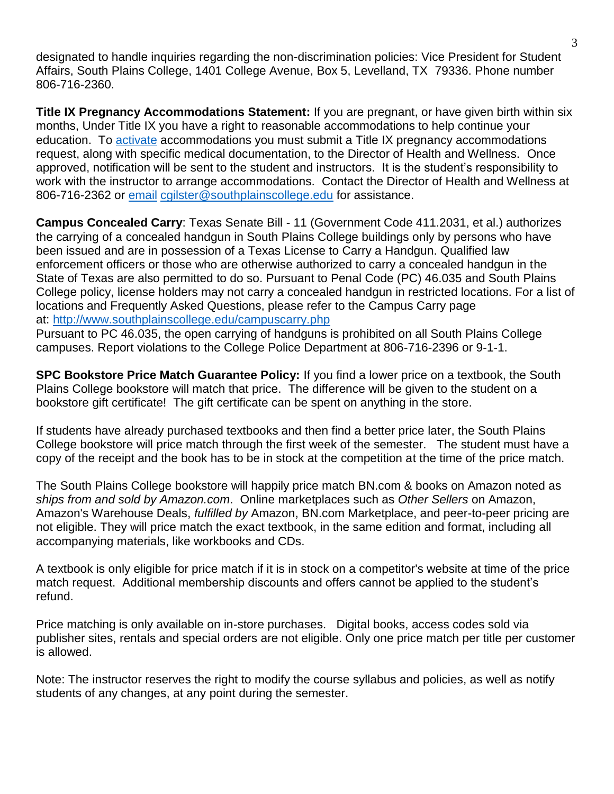designated to handle inquiries regarding the non-discrimination policies: Vice President for Student Affairs, South Plains College, 1401 College Avenue, Box 5, Levelland, TX 79336. Phone number 806-716-2360.

**Title IX Pregnancy Accommodations Statement:** If you are pregnant, or have given birth within six months, Under Title IX you have a right to reasonable accommodations to help continue your education. To [activate](http://www.southplainscollege.edu/employees/manualshandbooks/facultyhandbook/sec4.php) accommodations you must submit a Title IX pregnancy accommodations request, along with specific medical documentation, to the Director of Health and Wellness. Once approved, notification will be sent to the student and instructors. It is the student's responsibility to work with the instructor to arrange accommodations. Contact the Director of Health and Wellness at 806-716-2362 or [email](http://www.southplainscollege.edu/employees/manualshandbooks/facultyhandbook/sec4.php) [cgilster@southplainscollege.edu](mailto:cgilster@southplainscollege.edu) for assistance.

**Campus Concealed Carry**: Texas Senate Bill - 11 (Government Code 411.2031, et al.) authorizes the carrying of a concealed handgun in South Plains College buildings only by persons who have been issued and are in possession of a Texas License to Carry a Handgun. Qualified law enforcement officers or those who are otherwise authorized to carry a concealed handgun in the State of Texas are also permitted to do so. Pursuant to Penal Code (PC) 46.035 and South Plains College policy, license holders may not carry a concealed handgun in restricted locations. For a list of locations and Frequently Asked Questions, please refer to the Campus Carry page at: <http://www.southplainscollege.edu/campuscarry.php>

Pursuant to PC 46.035, the open carrying of handguns is prohibited on all South Plains College campuses. Report violations to the College Police Department at 806-716-2396 or 9-1-1.

**SPC Bookstore Price Match Guarantee Policy:** If you find a lower price on a textbook, the South Plains College bookstore will match that price. The difference will be given to the student on a bookstore gift certificate! The gift certificate can be spent on anything in the store.

If students have already purchased textbooks and then find a better price later, the South Plains College bookstore will price match through the first week of the semester. The student must have a copy of the receipt and the book has to be in stock at the competition at the time of the price match.

The South Plains College bookstore will happily price match BN.com & books on Amazon noted as *ships from and sold by Amazon.com*. Online marketplaces such as *Other Sellers* on Amazon, Amazon's Warehouse Deals, *fulfilled by* Amazon, BN.com Marketplace, and peer-to-peer pricing are not eligible. They will price match the exact textbook, in the same edition and format, including all accompanying materials, like workbooks and CDs.

A textbook is only eligible for price match if it is in stock on a competitor's website at time of the price match request. Additional membership discounts and offers cannot be applied to the student's refund.

Price matching is only available on in-store purchases. Digital books, access codes sold via publisher sites, rentals and special orders are not eligible. Only one price match per title per customer is allowed.

Note: The instructor reserves the right to modify the course syllabus and policies, as well as notify students of any changes, at any point during the semester.